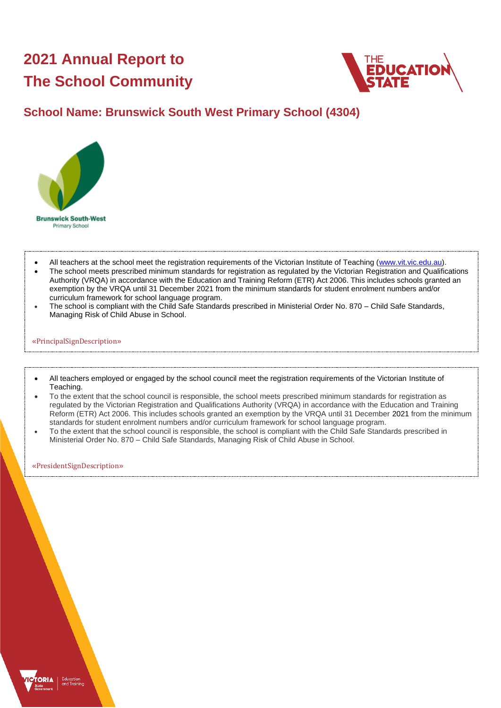# **2021 Annual Report to The School Community**



### **School Name: Brunswick South West Primary School (4304)**



- All teachers at the school meet the registration requirements of the Victorian Institute of Teaching [\(www.vit.vic.edu.au\)](https://www.vit.vic.edu.au/).
- The school meets prescribed minimum standards for registration as regulated by the Victorian Registration and Qualifications Authority (VRQA) in accordance with the Education and Training Reform (ETR) Act 2006. This includes schools granted an exemption by the VRQA until 31 December 2021 from the minimum standards for student enrolment numbers and/or curriculum framework for school language program.
- The school is compliant with the Child Safe Standards prescribed in Ministerial Order No. 870 Child Safe Standards, Managing Risk of Child Abuse in School.

#### «PrincipalSignDescription»

- All teachers employed or engaged by the school council meet the registration requirements of the Victorian Institute of Teaching.
- To the extent that the school council is responsible, the school meets prescribed minimum standards for registration as regulated by the Victorian Registration and Qualifications Authority (VRQA) in accordance with the Education and Training Reform (ETR) Act 2006. This includes schools granted an exemption by the VRQA until 31 December 2021 from the minimum standards for student enrolment numbers and/or curriculum framework for school language program.
- To the extent that the school council is responsible, the school is compliant with the Child Safe Standards prescribed in Ministerial Order No. 870 – Child Safe Standards, Managing Risk of Child Abuse in School.

«PresidentSignDescription»

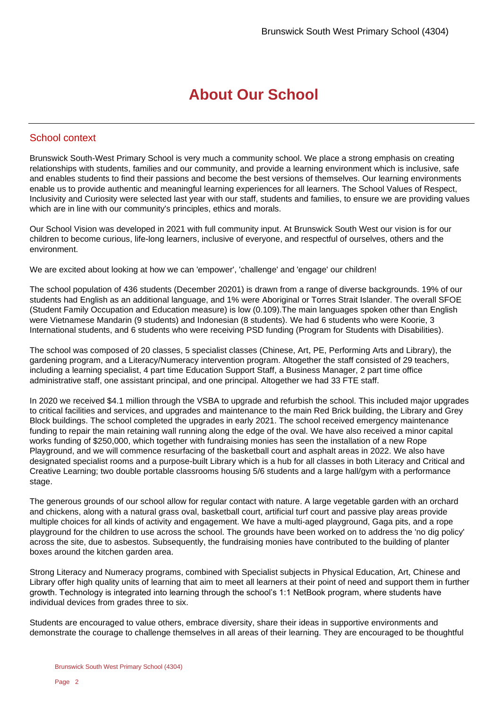## **About Our School**

#### School context

Brunswick South-West Primary School is very much a community school. We place a strong emphasis on creating relationships with students, families and our community, and provide a learning environment which is inclusive, safe and enables students to find their passions and become the best versions of themselves. Our learning environments enable us to provide authentic and meaningful learning experiences for all learners. The School Values of Respect, Inclusivity and Curiosity were selected last year with our staff, students and families, to ensure we are providing values which are in line with our community's principles, ethics and morals.

Our School Vision was developed in 2021 with full community input. At Brunswick South West our vision is for our children to become curious, life-long learners, inclusive of everyone, and respectful of ourselves, others and the environment.

We are excited about looking at how we can 'empower', 'challenge' and 'engage' our children!

The school population of 436 students (December 20201) is drawn from a range of diverse backgrounds. 19% of our students had English as an additional language, and 1% were Aboriginal or Torres Strait Islander. The overall SFOE (Student Family Occupation and Education measure) is low (0.109).The main languages spoken other than English were Vietnamese Mandarin (9 students) and Indonesian (8 students). We had 6 students who were Koorie, 3 International students, and 6 students who were receiving PSD funding (Program for Students with Disabilities).

The school was composed of 20 classes, 5 specialist classes (Chinese, Art, PE, Performing Arts and Library), the gardening program, and a Literacy/Numeracy intervention program. Altogether the staff consisted of 29 teachers, including a learning specialist, 4 part time Education Support Staff, a Business Manager, 2 part time office administrative staff, one assistant principal, and one principal. Altogether we had 33 FTE staff.

In 2020 we received \$4.1 million through the VSBA to upgrade and refurbish the school. This included major upgrades to critical facilities and services, and upgrades and maintenance to the main Red Brick building, the Library and Grey Block buildings. The school completed the upgrades in early 2021. The school received emergency maintenance funding to repair the main retaining wall running along the edge of the oval. We have also received a minor capital works funding of \$250,000, which together with fundraising monies has seen the installation of a new Rope Playground, and we will commence resurfacing of the basketball court and asphalt areas in 2022. We also have designated specialist rooms and a purpose-built Library which is a hub for all classes in both Literacy and Critical and Creative Learning; two double portable classrooms housing 5/6 students and a large hall/gym with a performance stage.

The generous grounds of our school allow for regular contact with nature. A large vegetable garden with an orchard and chickens, along with a natural grass oval, basketball court, artificial turf court and passive play areas provide multiple choices for all kinds of activity and engagement. We have a multi-aged playground, Gaga pits, and a rope playground for the children to use across the school. The grounds have been worked on to address the 'no dig policy' across the site, due to asbestos. Subsequently, the fundraising monies have contributed to the building of planter boxes around the kitchen garden area.

Strong Literacy and Numeracy programs, combined with Specialist subjects in Physical Education, Art, Chinese and Library offer high quality units of learning that aim to meet all learners at their point of need and support them in further growth. Technology is integrated into learning through the school's 1:1 NetBook program, where students have individual devices from grades three to six.

Students are encouraged to value others, embrace diversity, share their ideas in supportive environments and demonstrate the courage to challenge themselves in all areas of their learning. They are encouraged to be thoughtful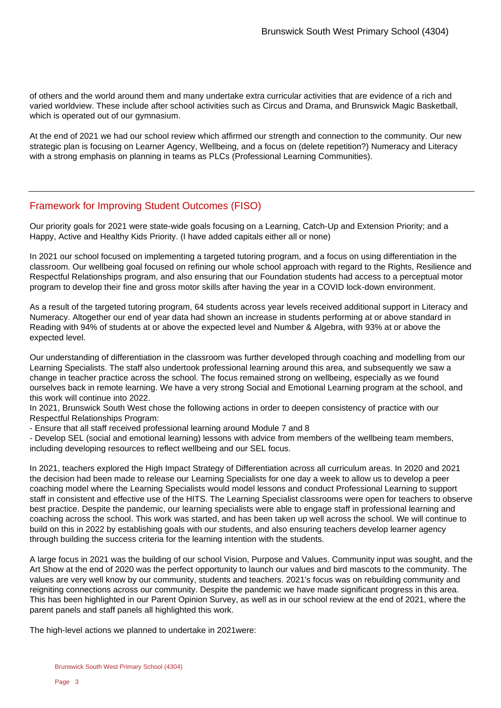of others and the world around them and many undertake extra curricular activities that are evidence of a rich and varied worldview. These include after school activities such as Circus and Drama, and Brunswick Magic Basketball, which is operated out of our gymnasium.

At the end of 2021 we had our school review which affirmed our strength and connection to the community. Our new strategic plan is focusing on Learner Agency, Wellbeing, and a focus on (delete repetition?) Numeracy and Literacy with a strong emphasis on planning in teams as PLCs (Professional Learning Communities).

#### Framework for Improving Student Outcomes (FISO)

Our priority goals for 2021 were state-wide goals focusing on a Learning, Catch-Up and Extension Priority; and a Happy, Active and Healthy Kids Priority. (I have added capitals either all or none)

In 2021 our school focused on implementing a targeted tutoring program, and a focus on using differentiation in the classroom. Our wellbeing goal focused on refining our whole school approach with regard to the Rights, Resilience and Respectful Relationships program, and also ensuring that our Foundation students had access to a perceptual motor program to develop their fine and gross motor skills after having the year in a COVID lock-down environment.

As a result of the targeted tutoring program, 64 students across year levels received additional support in Literacy and Numeracy. Altogether our end of year data had shown an increase in students performing at or above standard in Reading with 94% of students at or above the expected level and Number & Algebra, with 93% at or above the expected level.

Our understanding of differentiation in the classroom was further developed through coaching and modelling from our Learning Specialists. The staff also undertook professional learning around this area, and subsequently we saw a change in teacher practice across the school. The focus remained strong on wellbeing, especially as we found ourselves back in remote learning. We have a very strong Social and Emotional Learning program at the school, and this work will continue into 2022.

In 2021, Brunswick South West chose the following actions in order to deepen consistency of practice with our Respectful Relationships Program:

- Ensure that all staff received professional learning around Module 7 and 8

- Develop SEL (social and emotional learning) lessons with advice from members of the wellbeing team members, including developing resources to reflect wellbeing and our SEL focus.

In 2021, teachers explored the High Impact Strategy of Differentiation across all curriculum areas. In 2020 and 2021 the decision had been made to release our Learning Specialists for one day a week to allow us to develop a peer coaching model where the Learning Specialists would model lessons and conduct Professional Learning to support staff in consistent and effective use of the HITS. The Learning Specialist classrooms were open for teachers to observe best practice. Despite the pandemic, our learning specialists were able to engage staff in professional learning and coaching across the school. This work was started, and has been taken up well across the school. We will continue to build on this in 2022 by establishing goals with our students, and also ensuring teachers develop learner agency through building the success criteria for the learning intention with the students.

A large focus in 2021 was the building of our school Vision, Purpose and Values. Community input was sought, and the Art Show at the end of 2020 was the perfect opportunity to launch our values and bird mascots to the community. The values are very well know by our community, students and teachers. 2021's focus was on rebuilding community and reigniting connections across our community. Despite the pandemic we have made significant progress in this area. This has been highlighted in our Parent Opinion Survey, as well as in our school review at the end of 2021, where the parent panels and staff panels all highlighted this work.

The high-level actions we planned to undertake in 2021were: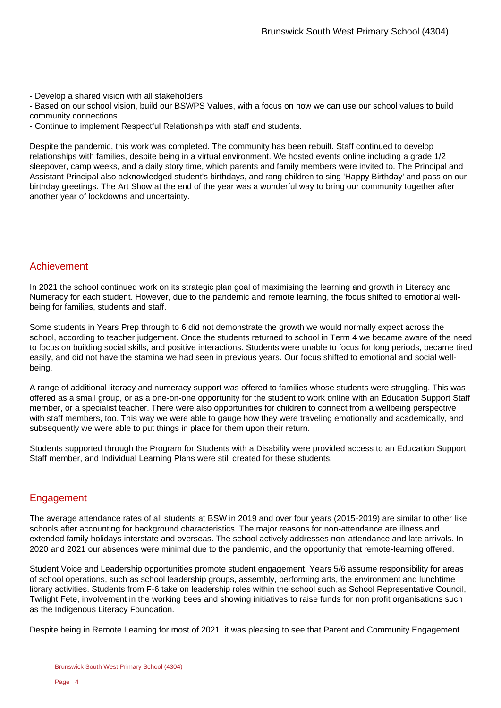- Develop a shared vision with all stakeholders

- Based on our school vision, build our BSWPS Values, with a focus on how we can use our school values to build community connections.

- Continue to implement Respectful Relationships with staff and students.

Despite the pandemic, this work was completed. The community has been rebuilt. Staff continued to develop relationships with families, despite being in a virtual environment. We hosted events online including a grade 1/2 sleepover, camp weeks, and a daily story time, which parents and family members were invited to. The Principal and Assistant Principal also acknowledged student's birthdays, and rang children to sing 'Happy Birthday' and pass on our birthday greetings. The Art Show at the end of the year was a wonderful way to bring our community together after another year of lockdowns and uncertainty.

#### Achievement

In 2021 the school continued work on its strategic plan goal of maximising the learning and growth in Literacy and Numeracy for each student. However, due to the pandemic and remote learning, the focus shifted to emotional wellbeing for families, students and staff.

Some students in Years Prep through to 6 did not demonstrate the growth we would normally expect across the school, according to teacher judgement. Once the students returned to school in Term 4 we became aware of the need to focus on building social skills, and positive interactions. Students were unable to focus for long periods, became tired easily, and did not have the stamina we had seen in previous years. Our focus shifted to emotional and social wellbeing.

A range of additional literacy and numeracy support was offered to families whose students were struggling. This was offered as a small group, or as a one-on-one opportunity for the student to work online with an Education Support Staff member, or a specialist teacher. There were also opportunities for children to connect from a wellbeing perspective with staff members, too. This way we were able to gauge how they were traveling emotionally and academically, and subsequently we were able to put things in place for them upon their return.

Students supported through the Program for Students with a Disability were provided access to an Education Support Staff member, and Individual Learning Plans were still created for these students.

#### Engagement

The average attendance rates of all students at BSW in 2019 and over four years (2015-2019) are similar to other like schools after accounting for background characteristics. The major reasons for non-attendance are illness and extended family holidays interstate and overseas. The school actively addresses non-attendance and late arrivals. In 2020 and 2021 our absences were minimal due to the pandemic, and the opportunity that remote-learning offered.

Student Voice and Leadership opportunities promote student engagement. Years 5/6 assume responsibility for areas of school operations, such as school leadership groups, assembly, performing arts, the environment and lunchtime library activities. Students from F-6 take on leadership roles within the school such as School Representative Council, Twilight Fete, involvement in the working bees and showing initiatives to raise funds for non profit organisations such as the Indigenous Literacy Foundation.

Despite being in Remote Learning for most of 2021, it was pleasing to see that Parent and Community Engagement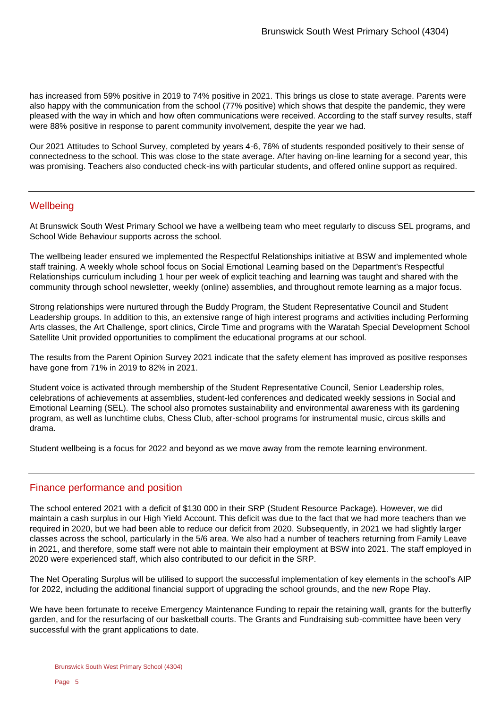has increased from 59% positive in 2019 to 74% positive in 2021. This brings us close to state average. Parents were also happy with the communication from the school (77% positive) which shows that despite the pandemic, they were pleased with the way in which and how often communications were received. According to the staff survey results, staff were 88% positive in response to parent community involvement, despite the year we had.

Our 2021 Attitudes to School Survey, completed by years 4-6, 76% of students responded positively to their sense of connectedness to the school. This was close to the state average. After having on-line learning for a second year, this was promising. Teachers also conducted check-ins with particular students, and offered online support as required.

#### **Wellbeing**

At Brunswick South West Primary School we have a wellbeing team who meet regularly to discuss SEL programs, and School Wide Behaviour supports across the school.

The wellbeing leader ensured we implemented the Respectful Relationships initiative at BSW and implemented whole staff training. A weekly whole school focus on Social Emotional Learning based on the Department's Respectful Relationships curriculum including 1 hour per week of explicit teaching and learning was taught and shared with the community through school newsletter, weekly (online) assemblies, and throughout remote learning as a major focus.

Strong relationships were nurtured through the Buddy Program, the Student Representative Council and Student Leadership groups. In addition to this, an extensive range of high interest programs and activities including Performing Arts classes, the Art Challenge, sport clinics, Circle Time and programs with the Waratah Special Development School Satellite Unit provided opportunities to compliment the educational programs at our school.

The results from the Parent Opinion Survey 2021 indicate that the safety element has improved as positive responses have gone from 71% in 2019 to 82% in 2021.

Student voice is activated through membership of the Student Representative Council, Senior Leadership roles, celebrations of achievements at assemblies, student-led conferences and dedicated weekly sessions in Social and Emotional Learning (SEL). The school also promotes sustainability and environmental awareness with its gardening program, as well as lunchtime clubs, Chess Club, after-school programs for instrumental music, circus skills and drama.

Student wellbeing is a focus for 2022 and beyond as we move away from the remote learning environment.

#### Finance performance and position

The school entered 2021 with a deficit of \$130 000 in their SRP (Student Resource Package). However, we did maintain a cash surplus in our High Yield Account. This deficit was due to the fact that we had more teachers than we required in 2020, but we had been able to reduce our deficit from 2020. Subsequently, in 2021 we had slightly larger classes across the school, particularly in the 5/6 area. We also had a number of teachers returning from Family Leave in 2021, and therefore, some staff were not able to maintain their employment at BSW into 2021. The staff employed in 2020 were experienced staff, which also contributed to our deficit in the SRP.

The Net Operating Surplus will be utilised to support the successful implementation of key elements in the school's AIP for 2022, including the additional financial support of upgrading the school grounds, and the new Rope Play.

We have been fortunate to receive Emergency Maintenance Funding to repair the retaining wall, grants for the butterfly garden, and for the resurfacing of our basketball courts. The Grants and Fundraising sub-committee have been very successful with the grant applications to date.